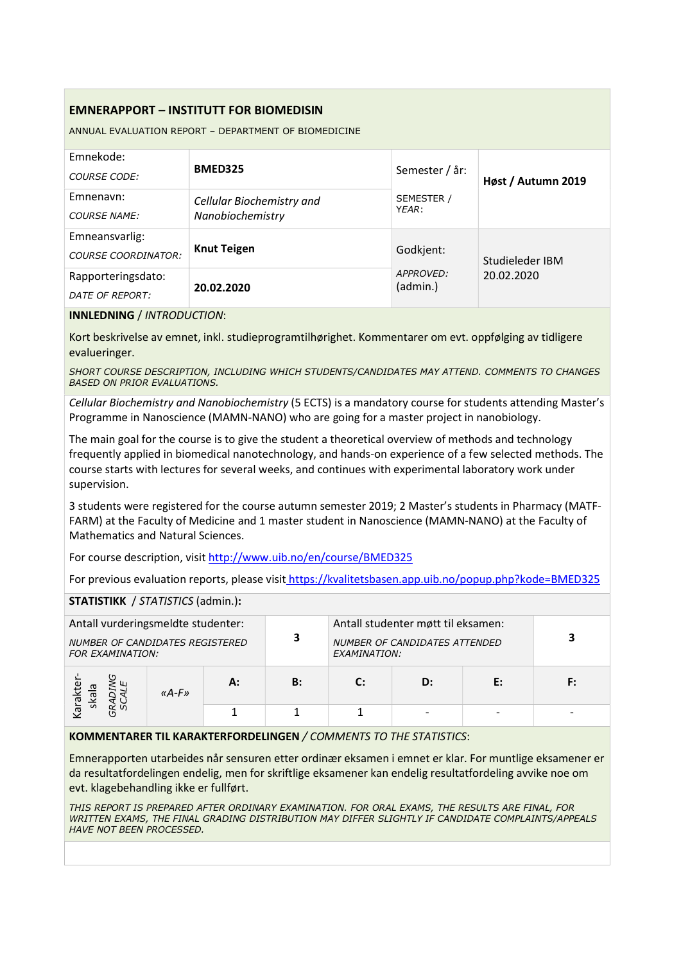# EMNERAPPORT – INSTITUTT FOR BIOMEDISIN

ANNUAL EVALUATION REPORT – DEPARTMENT OF BIOMEDICINE

| Emnekode:<br><b>COURSE CODE:</b>             | <b>BMED325</b>                                | Semester / år:                     | Høst / Autumn 2019 |  |
|----------------------------------------------|-----------------------------------------------|------------------------------------|--------------------|--|
| Emnenavn:<br><b>COURSE NAME:</b>             | Cellular Biochemistry and<br>Nanobiochemistry | SEMESTER /<br>YEAR:                |                    |  |
| Emneansvarlig:<br><b>COURSE COORDINATOR:</b> | <b>Knut Teigen</b>                            | Godkjent:<br>APPROVED:<br>(admin.) | Studieleder IBM    |  |
| Rapporteringsdato:<br>DATE OF REPORT:        | 20.02.2020                                    |                                    | 20.02.2020         |  |

#### INNLEDNING / INTRODUCTION:

Kort beskrivelse av emnet, inkl. studieprogramtilhørighet. Kommentarer om evt. oppfølging av tidligere evalueringer.

SHORT COURSE DESCRIPTION, INCLUDING WHICH STUDENTS/CANDIDATES MAY ATTEND. COMMENTS TO CHANGES BASED ON PRIOR EVALUATIONS.

Cellular Biochemistry and Nanobiochemistry (5 ECTS) is a mandatory course for students attending Master's Programme in Nanoscience (MAMN-NANO) who are going for a master project in nanobiology.

The main goal for the course is to give the student a theoretical overview of methods and technology frequently applied in biomedical nanotechnology, and hands-on experience of a few selected methods. The course starts with lectures for several weeks, and continues with experimental laboratory work under supervision.

3 students were registered for the course autumn semester 2019; 2 Master's students in Pharmacy (MATF-FARM) at the Faculty of Medicine and 1 master student in Nanoscience (MAMN-NANO) at the Faculty of Mathematics and Natural Sciences.

For course description, visit http://www.uib.no/en/course/BMED325

For previous evaluation reports, please visit https://kvalitetsbasen.app.uib.no/popup.php?kode=BMED325

## STATISTIKK / STATISTICS (admin.):

| Antall vurderingsmeldte studenter:<br>NUMBER OF CANDIDATES REGISTERED<br><b>FOR EXAMINATION:</b> |       | 3  | Antall studenter møtt til eksamen:<br><b>NUMBER OF CANDIDATES ATTENDED</b><br>EXAMINATION: |    |    |    |    |
|--------------------------------------------------------------------------------------------------|-------|----|--------------------------------------------------------------------------------------------|----|----|----|----|
| skal<br>leve                                                                                     | «A-F» | А: | B:                                                                                         | r٠ | D: | E: | F: |
|                                                                                                  |       |    |                                                                                            |    |    |    |    |

### KOMMENTARER TIL KARAKTERFORDELINGEN / COMMENTS TO THE STATISTICS:

Emnerapporten utarbeides når sensuren etter ordinær eksamen i emnet er klar. For muntlige eksamener er da resultatfordelingen endelig, men for skriftlige eksamener kan endelig resultatfordeling avvike noe om evt. klagebehandling ikke er fullført.

THIS REPORT IS PREPARED AFTER ORDINARY EXAMINATION. FOR ORAL EXAMS, THE RESULTS ARE FINAL, FOR WRITTEN EXAMS, THE FINAL GRADING DISTRIBUTION MAY DIFFER SLIGHTLY IF CANDIDATE COMPLAINTS/APPEALS HAVE NOT BEEN PROCESSED.